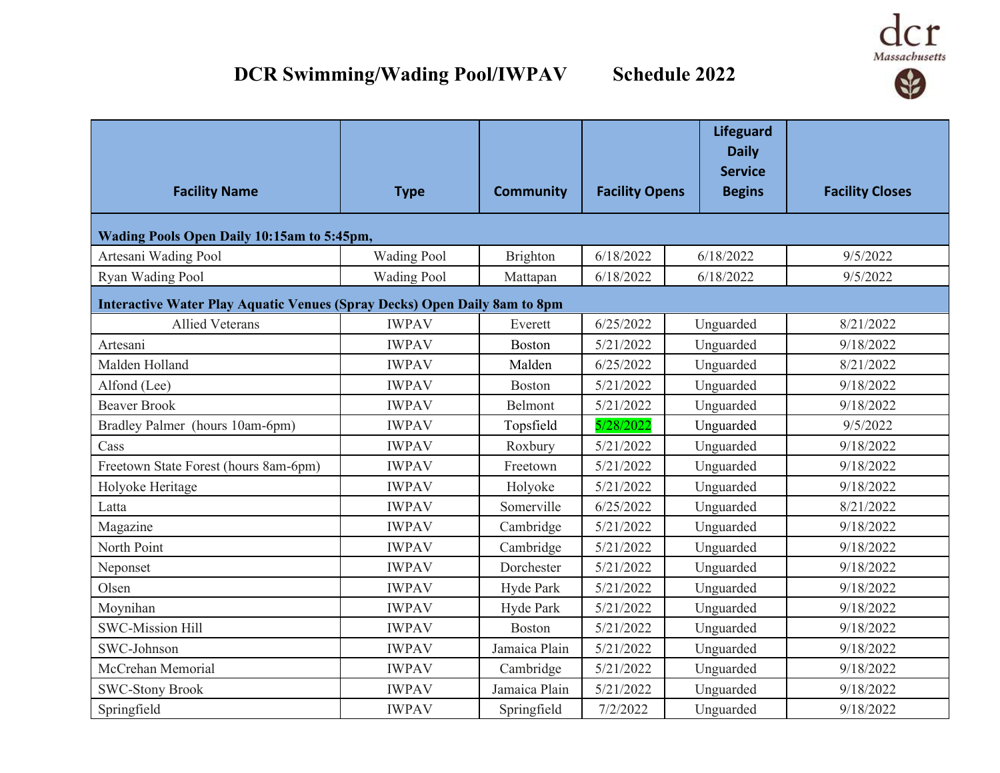



| <b>Facility Name</b>                                                      | <b>Type</b>        | <b>Community</b> | <b>Facility Opens</b> | <b>Lifeguard</b><br><b>Daily</b><br><b>Service</b><br><b>Begins</b> | <b>Facility Closes</b> |  |  |
|---------------------------------------------------------------------------|--------------------|------------------|-----------------------|---------------------------------------------------------------------|------------------------|--|--|
| Wading Pools Open Daily 10:15am to 5:45pm,                                |                    |                  |                       |                                                                     |                        |  |  |
| Artesani Wading Pool                                                      | <b>Wading Pool</b> | Brighton         | 6/18/2022             | 6/18/2022                                                           | 9/5/2022               |  |  |
| Ryan Wading Pool                                                          | <b>Wading Pool</b> | Mattapan         | 6/18/2022             | 6/18/2022                                                           | 9/5/2022               |  |  |
| Interactive Water Play Aquatic Venues (Spray Decks) Open Daily 8am to 8pm |                    |                  |                       |                                                                     |                        |  |  |
| <b>Allied Veterans</b>                                                    | <b>IWPAV</b>       | Everett          | 6/25/2022             | Unguarded                                                           | 8/21/2022              |  |  |
| Artesani                                                                  | <b>IWPAV</b>       | Boston           | 5/21/2022             | Unguarded                                                           | 9/18/2022              |  |  |
| Malden Holland                                                            | <b>IWPAV</b>       | Malden           | 6/25/2022             | Unguarded                                                           | 8/21/2022              |  |  |
| Alfond (Lee)                                                              | <b>IWPAV</b>       | Boston           | 5/21/2022             | Unguarded                                                           | 9/18/2022              |  |  |
| <b>Beaver Brook</b>                                                       | <b>IWPAV</b>       | Belmont          | 5/21/2022             | Unguarded                                                           | 9/18/2022              |  |  |
| Bradley Palmer (hours 10am-6pm)                                           | <b>IWPAV</b>       | Topsfield        | 5/28/2022             | Unguarded                                                           | 9/5/2022               |  |  |
| Cass                                                                      | <b>IWPAV</b>       | Roxbury          | 5/21/2022             | Unguarded                                                           | 9/18/2022              |  |  |
| Freetown State Forest (hours 8am-6pm)                                     | <b>IWPAV</b>       | Freetown         | 5/21/2022             | Unguarded                                                           | 9/18/2022              |  |  |
| Holyoke Heritage                                                          | <b>IWPAV</b>       | Holyoke          | 5/21/2022             | Unguarded                                                           | 9/18/2022              |  |  |
| Latta                                                                     | <b>IWPAV</b>       | Somerville       | 6/25/2022             | Unguarded                                                           | 8/21/2022              |  |  |
| Magazine                                                                  | <b>IWPAV</b>       | Cambridge        | 5/21/2022             | Unguarded                                                           | 9/18/2022              |  |  |
| North Point                                                               | <b>IWPAV</b>       | Cambridge        | 5/21/2022             | Unguarded                                                           | 9/18/2022              |  |  |
| Neponset                                                                  | <b>IWPAV</b>       | Dorchester       | 5/21/2022             | Unguarded                                                           | 9/18/2022              |  |  |
| Olsen                                                                     | <b>IWPAV</b>       | Hyde Park        | 5/21/2022             | Unguarded                                                           | 9/18/2022              |  |  |
| Moynihan                                                                  | <b>IWPAV</b>       | Hyde Park        | 5/21/2022             | Unguarded                                                           | 9/18/2022              |  |  |
| <b>SWC-Mission Hill</b>                                                   | <b>IWPAV</b>       | Boston           | 5/21/2022             | Unguarded                                                           | 9/18/2022              |  |  |
| SWC-Johnson                                                               | <b>IWPAV</b>       | Jamaica Plain    | 5/21/2022             | Unguarded                                                           | 9/18/2022              |  |  |
| McCrehan Memorial                                                         | <b>IWPAV</b>       | Cambridge        | 5/21/2022             | Unguarded                                                           | 9/18/2022              |  |  |
| <b>SWC-Stony Brook</b>                                                    | <b>IWPAV</b>       | Jamaica Plain    | 5/21/2022             | Unguarded                                                           | 9/18/2022              |  |  |
| Springfield                                                               | <b>IWPAV</b>       | Springfield      | 7/2/2022              | Unguarded                                                           | 9/18/2022              |  |  |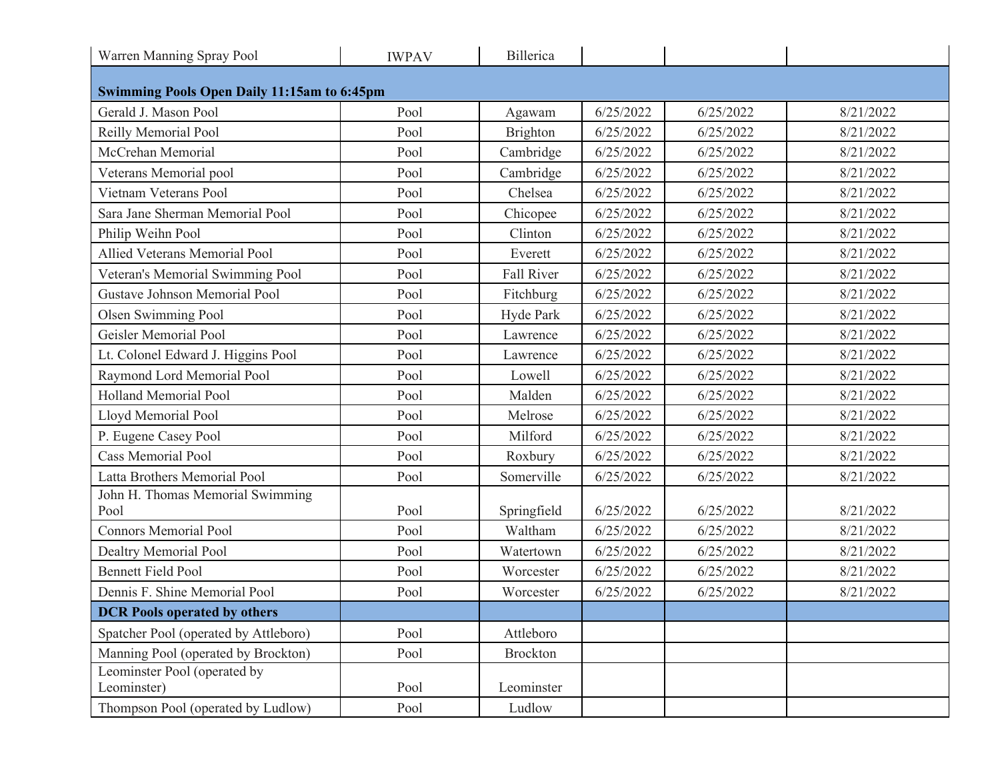| Warren Manning Spray Pool                          | <b>IWPAV</b> | Billerica   |           |           |           |  |  |  |
|----------------------------------------------------|--------------|-------------|-----------|-----------|-----------|--|--|--|
| <b>Swimming Pools Open Daily 11:15am to 6:45pm</b> |              |             |           |           |           |  |  |  |
| Gerald J. Mason Pool                               | Pool         | Agawam      | 6/25/2022 | 6/25/2022 | 8/21/2022 |  |  |  |
| Reilly Memorial Pool                               | Pool         | Brighton    | 6/25/2022 | 6/25/2022 | 8/21/2022 |  |  |  |
| McCrehan Memorial                                  | Pool         | Cambridge   | 6/25/2022 | 6/25/2022 | 8/21/2022 |  |  |  |
| Veterans Memorial pool                             | Pool         | Cambridge   | 6/25/2022 | 6/25/2022 | 8/21/2022 |  |  |  |
| Vietnam Veterans Pool                              | Pool         | Chelsea     | 6/25/2022 | 6/25/2022 | 8/21/2022 |  |  |  |
| Sara Jane Sherman Memorial Pool                    | Pool         | Chicopee    | 6/25/2022 | 6/25/2022 | 8/21/2022 |  |  |  |
| Philip Weihn Pool                                  | Pool         | Clinton     | 6/25/2022 | 6/25/2022 | 8/21/2022 |  |  |  |
| Allied Veterans Memorial Pool                      | Pool         | Everett     | 6/25/2022 | 6/25/2022 | 8/21/2022 |  |  |  |
| Veteran's Memorial Swimming Pool                   | Pool         | Fall River  | 6/25/2022 | 6/25/2022 | 8/21/2022 |  |  |  |
| Gustave Johnson Memorial Pool                      | Pool         | Fitchburg   | 6/25/2022 | 6/25/2022 | 8/21/2022 |  |  |  |
| Olsen Swimming Pool                                | Pool         | Hyde Park   | 6/25/2022 | 6/25/2022 | 8/21/2022 |  |  |  |
| Geisler Memorial Pool                              | Pool         | Lawrence    | 6/25/2022 | 6/25/2022 | 8/21/2022 |  |  |  |
| Lt. Colonel Edward J. Higgins Pool                 | Pool         | Lawrence    | 6/25/2022 | 6/25/2022 | 8/21/2022 |  |  |  |
| Raymond Lord Memorial Pool                         | Pool         | Lowell      | 6/25/2022 | 6/25/2022 | 8/21/2022 |  |  |  |
| <b>Holland Memorial Pool</b>                       | Pool         | Malden      | 6/25/2022 | 6/25/2022 | 8/21/2022 |  |  |  |
| Lloyd Memorial Pool                                | Pool         | Melrose     | 6/25/2022 | 6/25/2022 | 8/21/2022 |  |  |  |
| P. Eugene Casey Pool                               | Pool         | Milford     | 6/25/2022 | 6/25/2022 | 8/21/2022 |  |  |  |
| <b>Cass Memorial Pool</b>                          | Pool         | Roxbury     | 6/25/2022 | 6/25/2022 | 8/21/2022 |  |  |  |
| Latta Brothers Memorial Pool                       | Pool         | Somerville  | 6/25/2022 | 6/25/2022 | 8/21/2022 |  |  |  |
| John H. Thomas Memorial Swimming<br>Pool           | Pool         | Springfield | 6/25/2022 | 6/25/2022 | 8/21/2022 |  |  |  |
| <b>Connors Memorial Pool</b>                       | Pool         | Waltham     | 6/25/2022 | 6/25/2022 | 8/21/2022 |  |  |  |
| Dealtry Memorial Pool                              | Pool         | Watertown   | 6/25/2022 | 6/25/2022 | 8/21/2022 |  |  |  |
| <b>Bennett Field Pool</b>                          | Pool         | Worcester   | 6/25/2022 | 6/25/2022 | 8/21/2022 |  |  |  |
| Dennis F. Shine Memorial Pool                      | Pool         | Worcester   | 6/25/2022 | 6/25/2022 | 8/21/2022 |  |  |  |
| <b>DCR</b> Pools operated by others                |              |             |           |           |           |  |  |  |
| Spatcher Pool (operated by Attleboro)              | Pool         | Attleboro   |           |           |           |  |  |  |
| Manning Pool (operated by Brockton)                | Pool         | Brockton    |           |           |           |  |  |  |
| Leominster Pool (operated by<br>Leominster)        | Pool         | Leominster  |           |           |           |  |  |  |
| Thompson Pool (operated by Ludlow)                 | Pool         | Ludlow      |           |           |           |  |  |  |